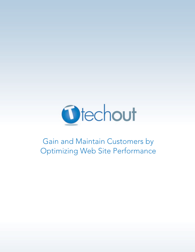

# Gain and Maintain Customers by Optimizing Web Site Performance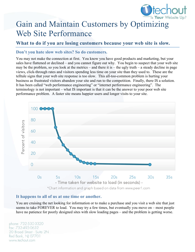

# Gain and Maintain Customers by Optimizing Web Site Performance

## **What to do if you are losing customers because your web site is slow.**

#### **Don't you hate slow web sites? So do customers.**

You may not make the connection at first. You know you have good products and marketing, but your sales have flattened or declined – and you cannot figure out why. You begin to suspect that your web site may be the problem, so you look at the metrics – and there it is – the ugly truth – a steady decline in page views, click-through rates and visitors spending less time on your site than they used to. These are the telltale signs that your web site response is too slow. This all-too-common problem is hurting your business as frustrated visitors abandon your site and run to the competition. Finally, there IS a solution. It has been called "web performance engineering" or "internet performance engineering". The terminology is not important – what IS important is that it can be the answer to your poor web site performance problem. A faster site means happier users and longer visits to your site.



#### **It happens to all of us at one time or another.**

You are cruising the net looking for information or to make a purchase and you visit a web site that just seems to take FOREVER to load. You may try a few times, but eventually you move on – most people have no patience for poorly designed sites with slow loading pages – and the problem is getting worse.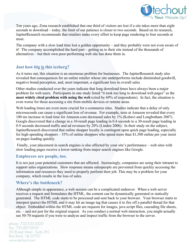

Ten years ago, Zona research established that one third of visitors are lost if a site takes more than eight seconds to download – today, the limit of our patience is closer to two seconds. Based on its research, JupiterResearch recommends that retailers make every effort to keep page rendering to four seconds at most.

The company with a slow load time lost a golden opportunity – and they probably were not even aware of it! The company accomplished the hard part – getting us to their site instead of the thousands of alternatives – but their own poor-performing web site has done them in.

### **Just how big is this iceberg?**

As it turns out, this situation is an enormous problem for businesses. The JupiterResearch study also revealed that consequences for an online retailer whose site underperforms include diminished goodwill, negative brand perception, and, most important, a significant loss in overall sales.

Other studies conducted over the years indicate that long download times have always been a major problem for web users. Participants in one study listed "it took too long to download web pages" as the **most widely cited problem with using the web** (cited by 69% of respondents). In fact, the situation is even worse for those accessing a site from mobile devices or remote areas.

Web loading times are even more crucial for e-commerce sites. Studies indicate that a delay of only microseconds can cause a significant loss of revenue. For example, tests at Amazon revealed that every 100 ms increase in load time for Amazon.com decreased sales by 1% (Kohavi and Longbotham 2007). Google discovered that a change in a 10-result page loading in 0.4 seconds to a 30-result page loading in 0.9 seconds decreased traffic and ad revenues by 20% (Linden 2006). In their study on the subject, JupiterResearch discovered that online shopper loyalty is contingent upon quick page loading, especially for high-spending shoppers – 55% of online shoppers who spend more than \$1,500 online per year insist on pages loading quickly.

 Finally, your placement in search engines is also affected by your site's performance – web sites with slow loading pages receive a lower ranking from major search engines like Google.

#### **Employees are people, too.**

It is not just your potential customers that are affected. Increasingly, companies are using their intranet to support sales organizations. Slow response means salespeople are prevented from quickly accessing the information and resources they need to properly perform their job. This may be a problem for your company, which results in the loss of sales.

#### **Where's the bottleneck?**

Although simple in appearance, a web session can be a complicated endeavor. When a web server receives a request and formulates the HTML, the content can be dynamically generated or statically generated. The HTML code starts to be processed and sent back to your browser. Your browser starts to interpret (parse) the HTML and it may hit an image tag that causes it to fire off a parallel thread for that object. Embedded within the HTML code are requests for images, java script files, cascading file sheets, etc. – and not just for the original request. As you conduct a normal web interaction, you might actually see 50-70 requests if you were to analyze and inspect traffic from the browser to the server.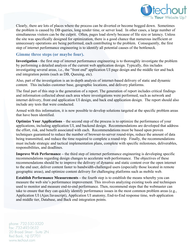

Clearly, there are lots of places where the process can be diverted or become bogged down. Sometimes the problem is caused by DB queries, long render time, or server load. In other cases, a large number of simultaneous visitors can be the culprit. Often, pages load slowly because of file size or latency. Unless the site was specifically designed for optimization, there is a good chance that numerous inefficient or unnecessary operations are being performed, each contributing to the problem. Consequently, the first step of internet performance engineering is to identify all potential causes of the bottleneck.

#### **Gimme three steps (or maybe four).**

**Investigation** - the first step of internet performance engineering is to thoroughly investigate the problem by performing a detailed analysis of the current web application design. Typically, this includes investigating several areas, i.e., the "front end" application UI page design and the middle tier and back end integration points (such as DB, Queuing, etc).

Also, part of the investigation is an in-depth analysis of internet-based delivery of static and dynamic content. This includes customer base, geographic locations, and delivery platforms.

The final part of this step is the generation of a report. The generation of report includes critical findings and information collected about each area where investigations were performed, such as network and internet delivery, front end application UI design, and back end application design. The report should also include any tests that were conducted.

Armed with this information, it is now possible to develop solutions targeted at the specific problem areas that have been identified.

**Optimize Your Applications** – the second step of the process is to optimize the performance of your applications, including application UI, and backend design. Recommendations are developed that address the effort, risk, and benefit associated with each. Recommendations must be based upon proven techniques guaranteed to reduce the number of browser-to-server round-trips, reduce the amount of data being transmitted, and reduce the time required to complete a round-trip. Finally, the recommendations must include strategic and tactical implementation plans, complete with specific milestones, deliverables, responsibilities, and deadlines.

**Improve Web Performance –** the third step of internet performance engineering is developing specific recommendations regarding design changes to accelerate web performance. The objectives of these recommendations should be to improve the delivery of dynamic and static content over the open internet to the end user, deliver content faster to bandwidth-challenged users (especially those located in remote geographic areas), and optimize content delivery for challenging platforms such as mobile web.

**Establish Performance Measurements – the fourth step is to establish the means whereby you can** measure the web site's performance improvement. This involves analyzing existing tools and techniques used to monitor and measure end-to-end performance. Then, recommend steps that the webmaster can take to ensure that they can quickly identify performance issues in the most common problem areas (e.g., Application UI (Ajax/Javascript), Application UI anatomy, End-to-End response time, web application and middle tier, Database, and Back end integration points.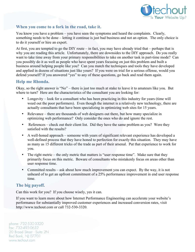

#### **When you come to a fork in the road, take it.**

You know you have a problem – you have seen the symptoms and heard the complaints. Clearly, something needs to be done – letting it continue is just bad business and not an option. The only choice is to do it yourself or hire an expert.

At first, you are tempted to go the DIY route – in fact, you may have already tried that – perhaps that is why you are reading this article. Unfortunately, there are downsides to the DIY approach. Do you really want to take time away from your primary responsibilities to take on another task in part-time mode? Can you possibly do it as well as people who have spent years focusing on just this problem and built a business around helping people like you? Can you match the techniques and tools they have developed and applied in dozens of situations just like yours? If you were on trial for a serious offense, would you defend yourself? If you answered "yes" to any of these questions, go back and read them again.

#### **Help me Rhonda.**

Okay, so the right answer is "No" – there is just too much at stake to leave it to amateurs like you. But where to turn? Here are the characteristics of the consultant you are looking for:

- Longevity look for a consultant who has been practicing in this industry for years (time will weed out the poor performers). Even though the internet is a relatively new technology, there are actually consultants that have been specializing in optimizing web sites for 15 years.
- Relevance there are thousands of web designers out there, but how many specialize in optimizing web performance? Only consider the ones who do and ignore the rest.
- References check out their client list. Did they have the same problem as you? Were they satisfied with the results?
- A well-honed approach someone with years of significant relevant experience has developed a well-defined process that they have honed to perfection for exactly this situation. They may have as many as 15 different tricks of the trade as part of their arsenal. Put that experience to work for you.
- The right metric the only metric that matters is "user response time". Make sure that they primarily focus on this metric. Beware of consultants who mistakenly focus on areas other than user response time.
- Committed results ask about how much improvement you can expect. By the way, it is not unheard of to get an upfront commitment of a 25% performance improvement in end user response time.

#### **The big payoff.**

Can this work for you? If you choose wisely, yes it can.

If you want to learn more about how Internet Performance Engineering can accelerate your website's performance for substantially improved customer experiences and increased conversion rates, visit http://www.techout.com or call 732-530-3320.